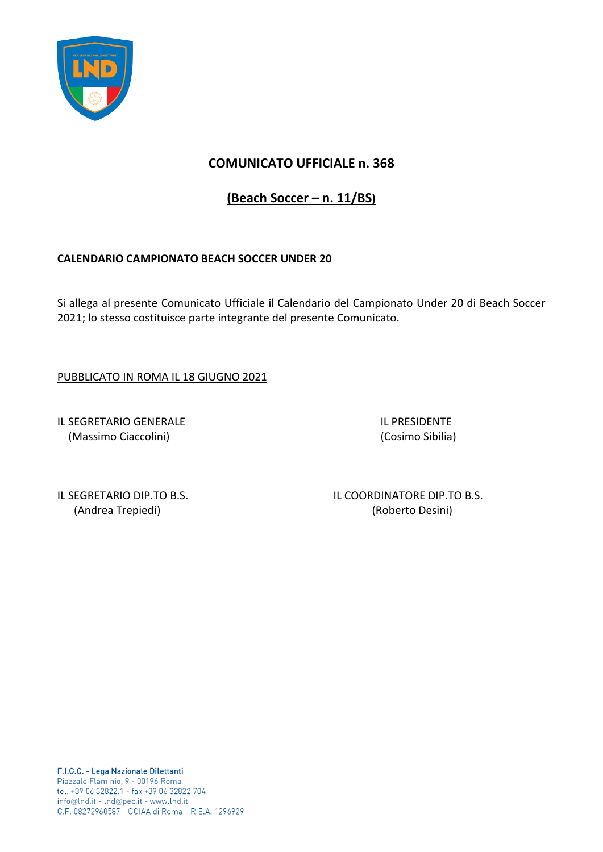

## **COMUNICATO UFFICIALE n. 368**

**(Beach Soccer – n. 11/BS)**

## **CALENDARIO CAMPIONATO BEACH SOCCER UNDER 20**

Si allega al presente Comunicato Ufficiale il Calendario del Campionato Under 20 di Beach Soccer 2021; lo stesso costituisce parte integrante del presente Comunicato.

PUBBLICATO IN ROMA IL 18 GIUGNO 2021

IL SEGRETARIO GENERALE IL PRESIDENTE (Massimo Ciaccolini) (Cosimo Sibilia)

IL SEGRETARIO DIP.TO B.S. IL COORDINATORE DIP.TO B.S. (Andrea Trepiedi) (Roberto Desini)